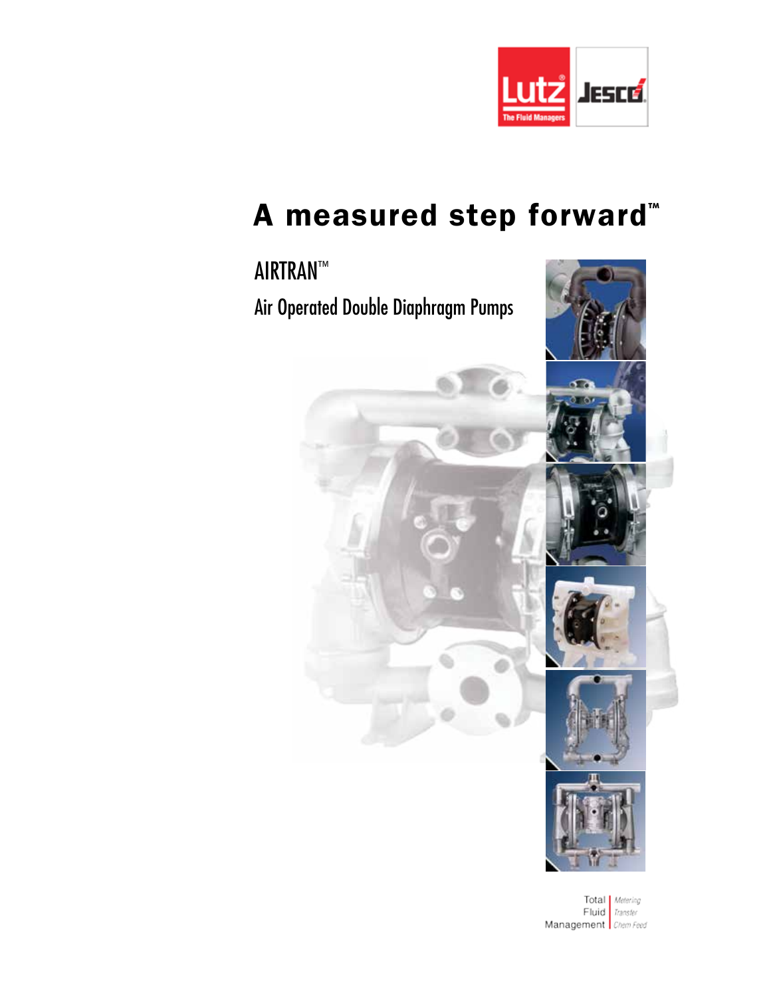

# A measured step forward<sup>®</sup>

# AIRTRAN™ Air Operated Double Diaphragm Pumps

Total | Metering Fluid Transfer Management Chem Feed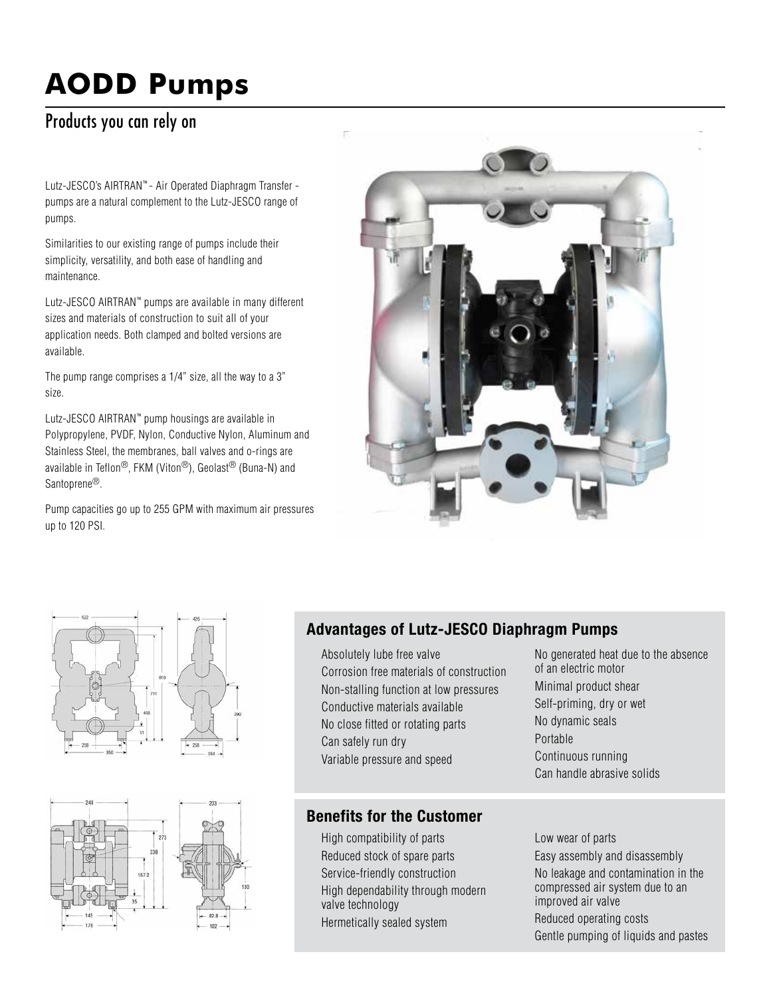# **AODD Pumps**

# Products you can rely on

Lutz-JESCO's AIRTRAN™ - Air Operated Diaphragm Transfer pumps are a natural complement to the Lutz-JESCO range of pumps.

Similarities to our existing range of pumps include their simplicity, versatility, and both ease of handling and maintenance.

Lutz-JESCO AIRTRAN™ pumps are available in many different sizes and materials of construction to suit all of your application needs. Both clamped and bolted versions are available.

The pump range comprises a 1/4" size, all the way to a 3" size.

Lutz-JESCO AIRTRAN™ pump housings are available in Polypropylene, PVDF, Nylon, Conductive Nylon, Aluminum and Stainless Steel, the membranes, ball valves and o-rings are available in Teflon®, FKM (Viton®), Geolast® (Buna-N) and Santoprene<sup>®</sup>.

Pump capacities go up to 255 GPM with maximum air pressures up to 120 PSI.







## Advantages of Lutz-JESCO Diaphragm Pumps

Absolutely lube free valve Corrosion free materials of construction Non-stalling function at low pressures Conductive materials available No close fitted or rotating parts Can safely run dry Variable pressure and speed

## Benefits for the Customer

High compatibility of parts Reduced stock of spare parts Service-friendly construction High dependability through modern valve technology Hermetically sealed system

No generated heat due to the absence of an electric motor Minimal product shear Self-priming, dry or wet No dynamic seals Portable Continuous running Can handle abrasive solids

Low wear of parts Easy assembly and disassembly No leakage and contamination in the compressed air system due to an improved air valve Reduced operating costs Gentle pumping of liquids and pastes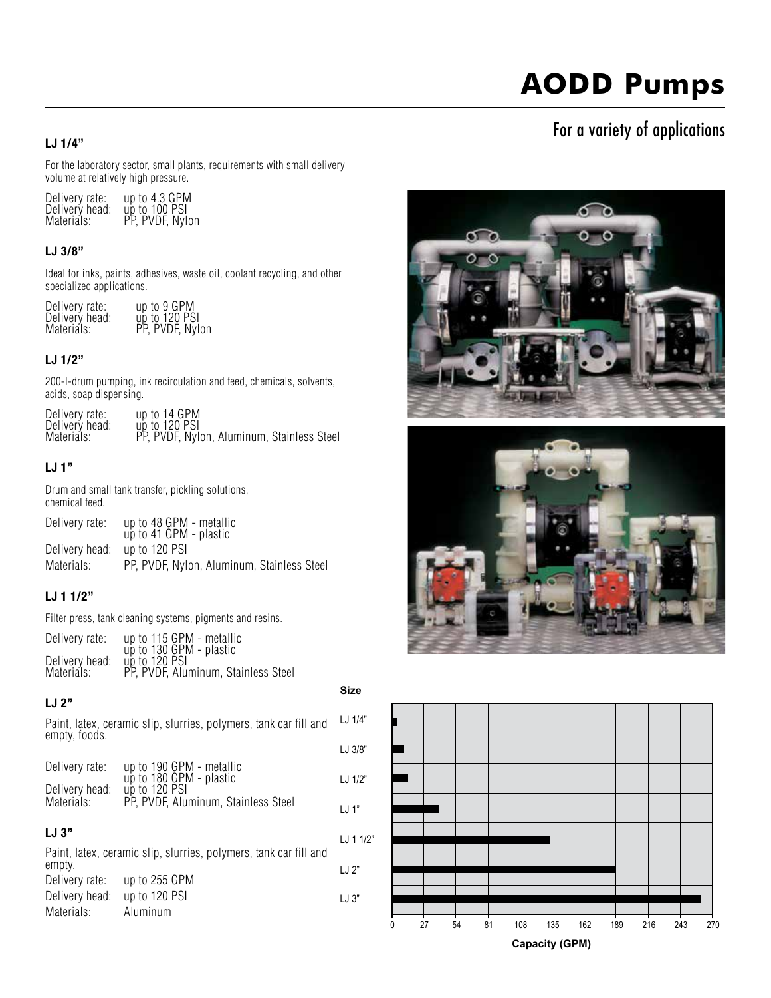# **AODD Pumps**

## For a variety of applications

#### LJ 1/4"

For the laboratory sector, small plants, requirements with small delivery volume at relatively high pressure.

| Delivery rate: | up to 4.3 GPM      |
|----------------|--------------------|
| Delivery head: | $\mu$ p to 100 PSI |
| Materials:     | PP, PVDF, Nylon    |

#### LJ 3/8"

Ideal for inks, paints, adhesives, waste oil, coolant recycling, and other specialized applications.

|  | Delivery rate:<br>Delivery head:<br>Materials: | up to 9 GPM<br>up to 120 PSI<br>PP, PVDF, Nylon |
|--|------------------------------------------------|-------------------------------------------------|
|--|------------------------------------------------|-------------------------------------------------|

#### LJ 1/2"

200-l-drum pumping, ink recirculation and feed, chemicals, solvents, acids, soap dispensing.

| Delivery rate: | up to 14 GPM                               |
|----------------|--------------------------------------------|
| Delivery head: | up to 120 PSI                              |
| Materials:     | PP, PVDF, Nylon, Aluminum, Stainless Steel |

#### LJ 1"

Drum and small tank transfer, pickling solutions, chemical feed.

| Delivery rate: | up to 48 GPM - metallic<br>up to 41 GPM - plastic |
|----------------|---------------------------------------------------|
| Delivery head: | up to 120 PSI                                     |
| Materials:     | PP, PVDF, Nylon, Aluminum, Stainless Steel        |

#### LJ 1 1/2"

Filter press, tank cleaning systems, pigments and resins.

Delivery rate: up to 115 GPM - metallic up to 130 GPM - plastic<br>Delivery head: up to 120 PSI<br>Materials: PP, PVDF, Aluminum, Stainless Steel

#### LJ 2"

Materials: Aluminum

**Size**

 $LJ$  3"

Paint, latex, ceramic slip, slurries, polymers, tank car fill and empty, foods. Delivery rate: up to 190 GPM - metallic up to 180 GPM - plastic<br>Delivery head: up to 120 PSI Materials: PP, PVDF, Aluminum, Stainless Steel LJ 3" Paint, latex, ceramic slip, slurries, polymers, tank car fill and empty. Delivery rate: up to 255 GPM Delivery head: up to 120 PSI LJ 1/4" LJ 3/8" LJ 1/2" LJ 1" LJ 1 1/2"  $LJ2"$ 





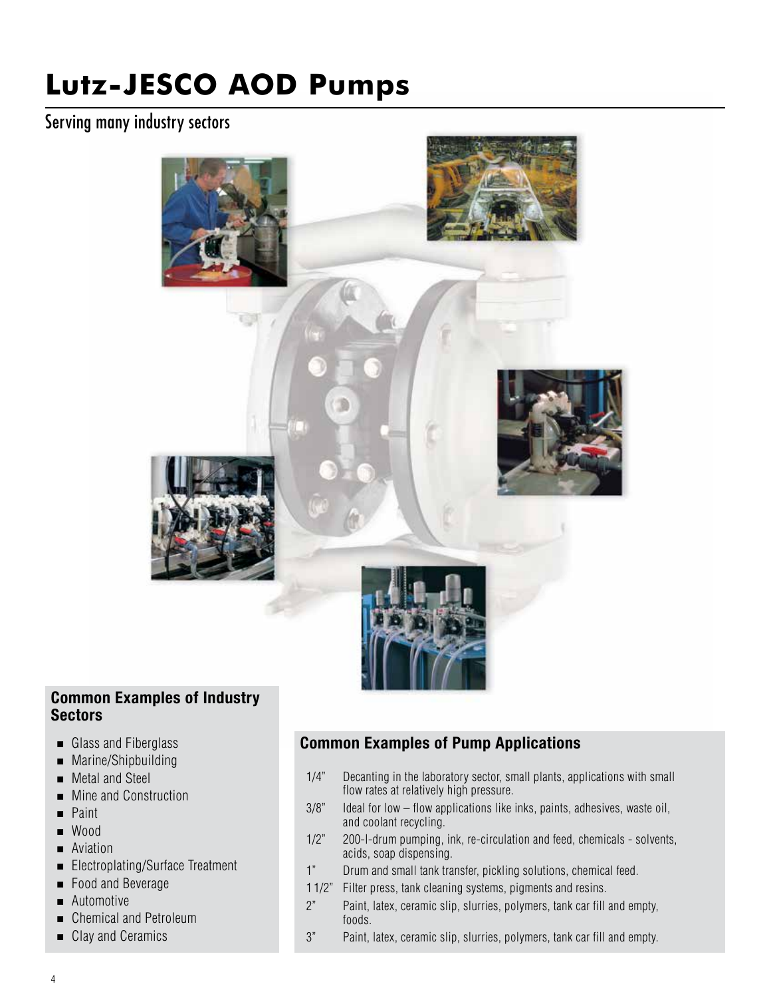## Serving many industry sectors



#### Common Examples of Industry **Sectors**

- Glass and Fiberglass
- **Marine/Shipbuilding**
- Metal and Steel
- **Mine and Construction**
- **Paint**
- Wood
- **Aviation**
- Electroplating/Surface Treatment
- Food and Beverage
- Automotive
- Chemical and Petroleum
- Clay and Ceramics

## Common Examples of Pump Applications

- 1/4" Decanting in the laboratory sector, small plants, applications with small flow rates at relatively high pressure.
- 3/8" Ideal for low flow applications like inks, paints, adhesives, waste oil, and coolant recycling.
- 1/2" 200-l-drum pumping, ink, re-circulation and feed, chemicals solvents, acids, soap dispensing.
- 1" Drum and small tank transfer, pickling solutions, chemical feed.
- 1 1/2" Filter press, tank cleaning systems, pigments and resins.
- 2" Paint, latex, ceramic slip, slurries, polymers, tank car fill and empty, foods.
- 3" Paint, latex, ceramic slip, slurries, polymers, tank car fill and empty.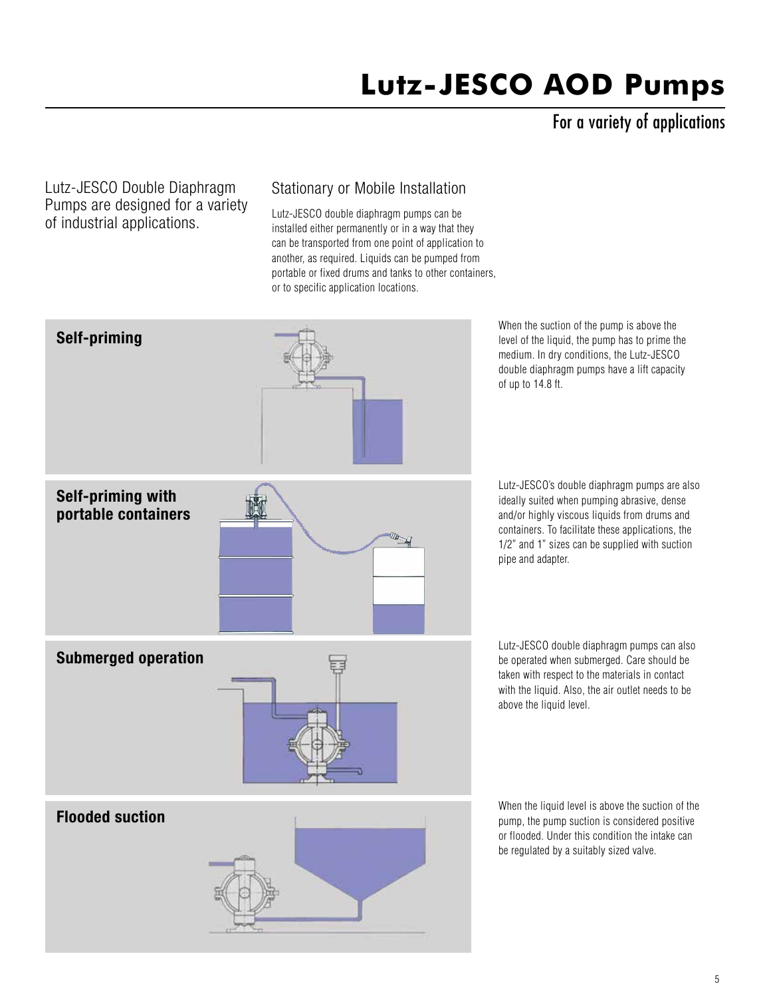For a variety of applications

Lutz-JESCO Double Diaphragm Pumps are designed for a variety of industrial applications.

## Stationary or Mobile Installation

Lutz-JESCO double diaphragm pumps can be installed either permanently or in a way that they can be transported from one point of application to another, as required. Liquids can be pumped from portable or fixed drums and tanks to other containers, or to specific application locations.



When the suction of the pump is above the level of the liquid, the pump has to prime the medium. In dry conditions, the Lutz-JESCO double diaphragm pumps have a lift capacity of up to 14.8 ft.

Lutz-JESCO's double diaphragm pumps are also ideally suited when pumping abrasive, dense and/or highly viscous liquids from drums and containers. To facilitate these applications, the 1/2" and 1" sizes can be supplied with suction pipe and adapter.

Lutz-JESCO double diaphragm pumps can also be operated when submerged. Care should be taken with respect to the materials in contact with the liquid. Also, the air outlet needs to be above the liquid level.

When the liquid level is above the suction of the pump, the pump suction is considered positive or flooded. Under this condition the intake can be regulated by a suitably sized valve.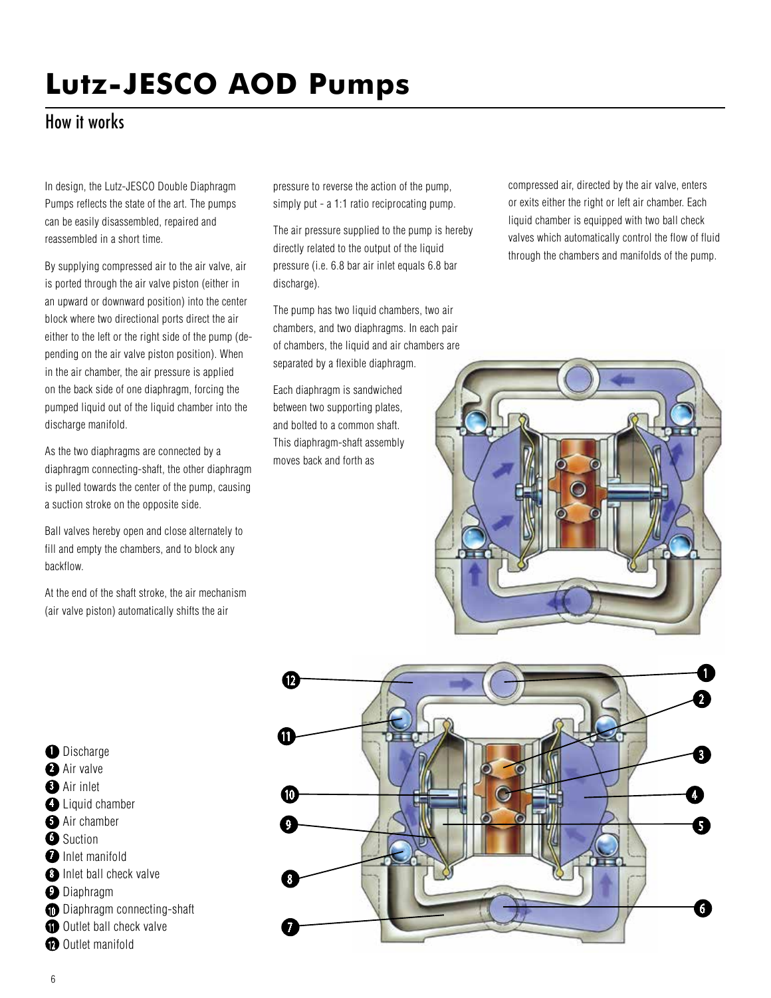## How it works

In design, the Lutz-JESCO Double Diaphragm Pumps reflects the state of the art. The pumps can be easily disassembled, repaired and reassembled in a short time.

By supplying compressed air to the air valve, air is ported through the air valve piston (either in an upward or downward position) into the center block where two directional ports direct the air either to the left or the right side of the pump (depending on the air valve piston position). When in the air chamber, the air pressure is applied on the back side of one diaphragm, forcing the pumped liquid out of the liquid chamber into the discharge manifold.

As the two diaphragms are connected by a diaphragm connecting-shaft, the other diaphragm is pulled towards the center of the pump, causing a suction stroke on the opposite side.

Ball valves hereby open and close alternately to fill and empty the chambers, and to block any backflow.

At the end of the shaft stroke, the air mechanism (air valve piston) automatically shifts the air

pressure to reverse the action of the pump, simply put - a 1:1 ratio reciprocating pump.

The air pressure supplied to the pump is hereby directly related to the output of the liquid pressure (i.e. 6.8 bar air inlet equals 6.8 bar discharge).

The pump has two liquid chambers, two air chambers, and two diaphragms. In each pair of chambers, the liquid and air chambers are separated by a flexible diaphragm.

Each diaphragm is sandwiched between two supporting plates, and bolted to a common shaft. This diaphragm-shaft assembly moves back and forth as

compressed air, directed by the air valve, enters or exits either the right or left air chamber. Each liquid chamber is equipped with two ball check valves which automatically control the flow of fluid through the chambers and manifolds of the pump.





**D** Discharge 2 Air valve **3** Air inlet **4** Liquid chamber **5** Air chamber **5** Suction **D** Inlet manifold **B** Inlet ball check valve **D**iaphragm **D** Diaphragm connecting-shaft **11** Outlet ball check valve **D** Outlet manifold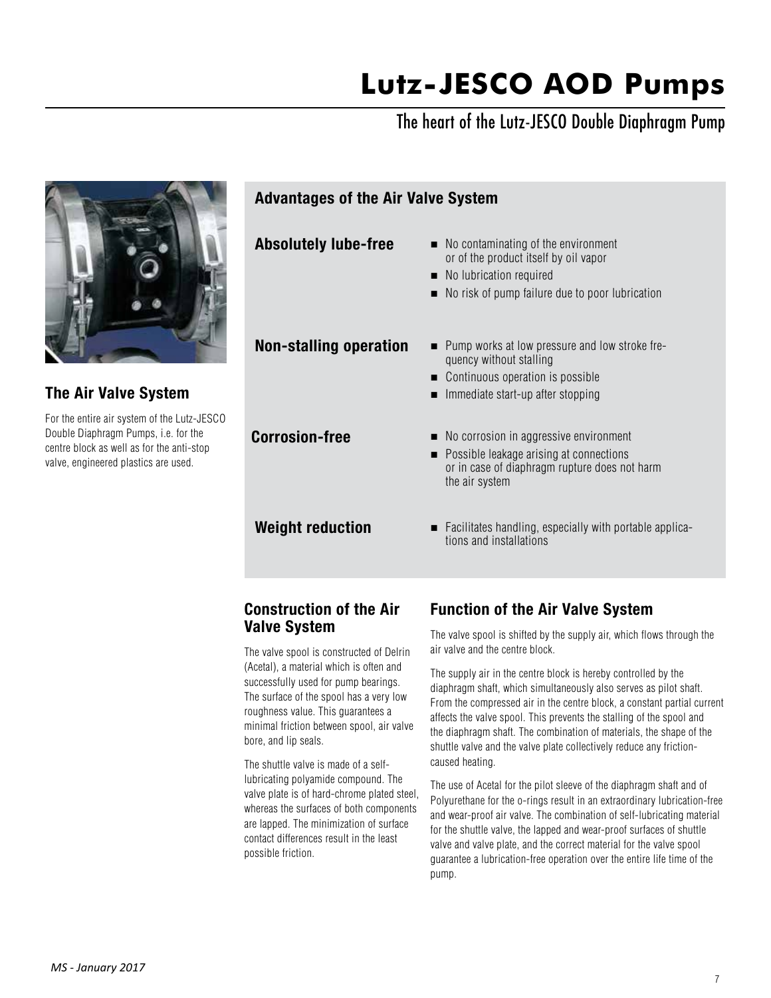# The heart of the Lutz-JESCO Double Diaphragm Pump



#### Construction of the Air Valve System

The valve spool is constructed of Delrin (Acetal), a material which is often and successfully used for pump bearings. The surface of the spool has a very low roughness value. This guarantees a minimal friction between spool, air valve bore, and lip seals.

The shuttle valve is made of a selflubricating polyamide compound. The valve plate is of hard-chrome plated steel, whereas the surfaces of both components are lapped. The minimization of surface contact differences result in the least possible friction.

## Function of the Air Valve System

The valve spool is shifted by the supply air, which flows through the air valve and the centre block.

The supply air in the centre block is hereby controlled by the diaphragm shaft, which simultaneously also serves as pilot shaft. From the compressed air in the centre block, a constant partial current affects the valve spool. This prevents the stalling of the spool and the diaphragm shaft. The combination of materials, the shape of the shuttle valve and the valve plate collectively reduce any frictioncaused heating.

The use of Acetal for the pilot sleeve of the diaphragm shaft and of Polyurethane for the o-rings result in an extraordinary lubrication-free and wear-proof air valve. The combination of self-lubricating material for the shuttle valve, the lapped and wear-proof surfaces of shuttle valve and valve plate, and the correct material for the valve spool guarantee a lubrication-free operation over the entire life time of the pump.